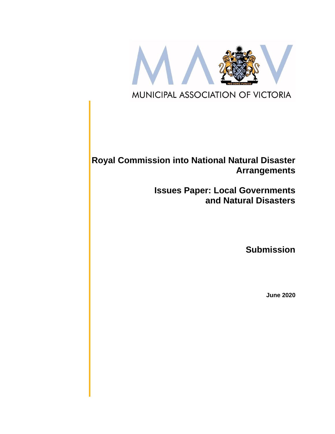

# **Royal Commission into National Natural Disaster Arrangements**

**Issues Paper: Local Governments and Natural Disasters**

**Submission**

**June 2020**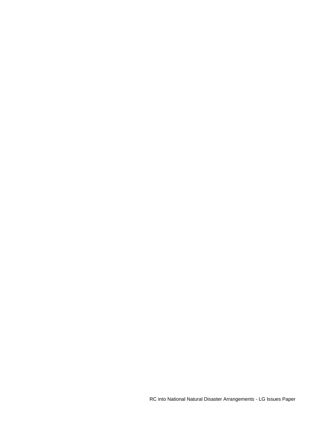RC into National Natural Disaster Arrangements - LG Issues Paper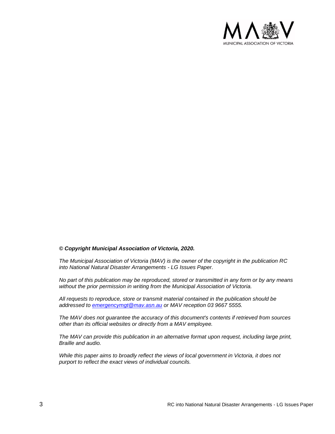

#### *© Copyright Municipal Association of Victoria, 2020.*

*The Municipal Association of Victoria (MAV) is the owner of the copyright in the publication RC into National Natural Disaster Arrangements - LG Issues Paper.* 

*No part of this publication may be reproduced, stored or transmitted in any form or by any means without the prior permission in writing from the Municipal Association of Victoria.* 

*All requests to reproduce, store or transmit material contained in the publication should be addressed to [emergencymgt@mav.asn.au](mailto:emergencymgt@mav.asn.au) or MAV reception 03 9667 5555.* 

*The MAV does not guarantee the accuracy of this document's contents if retrieved from sources other than its official websites or directly from a MAV employee.*

*The MAV can provide this publication in an alternative format upon request, including large print, Braille and audio.* 

*While this paper aims to broadly reflect the views of local government in Victoria, it does not purport to reflect the exact views of individual councils.*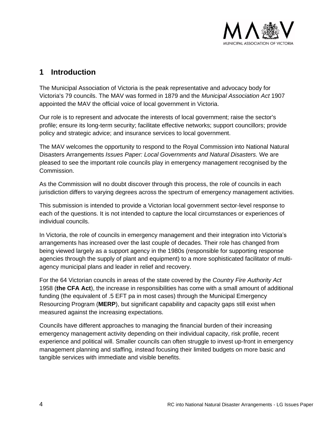

## **1 Introduction**

The Municipal Association of Victoria is the peak representative and advocacy body for Victoria's 79 councils. The MAV was formed in 1879 and the *Municipal Association Act* 1907 appointed the MAV the official voice of local government in Victoria.

Our role is to represent and advocate the interests of local government; raise the sector's profile; ensure its long-term security; facilitate effective networks; support councillors; provide policy and strategic advice; and insurance services to local government.

The MAV welcomes the opportunity to respond to the Royal Commission into National Natural Disasters Arrangements *Issues Paper: Local Governments and Natural Disasters.* We are pleased to see the important role councils play in emergency management recognised by the Commission.

As the Commission will no doubt discover through this process, the role of councils in each jurisdiction differs to varying degrees across the spectrum of emergency management activities.

This submission is intended to provide a Victorian local government sector-level response to each of the questions. It is not intended to capture the local circumstances or experiences of individual councils.

In Victoria, the role of councils in emergency management and their integration into Victoria's arrangements has increased over the last couple of decades. Their role has changed from being viewed largely as a support agency in the 1980s (responsible for supporting response agencies through the supply of plant and equipment) to a more sophisticated facilitator of multiagency municipal plans and leader in relief and recovery.

For the 64 Victorian councils in areas of the state covered by the *Country Fire Authority Act* 1958 (**the CFA Act**), the increase in responsibilities has come with a small amount of additional funding (the equivalent of .5 EFT pa in most cases) through the Municipal Emergency Resourcing Program (**MERP**), but significant capability and capacity gaps still exist when measured against the increasing expectations.

Councils have different approaches to managing the financial burden of their increasing emergency management activity depending on their individual capacity, risk profile, recent experience and political will. Smaller councils can often struggle to invest up-front in emergency management planning and staffing, instead focusing their limited budgets on more basic and tangible services with immediate and visible benefits.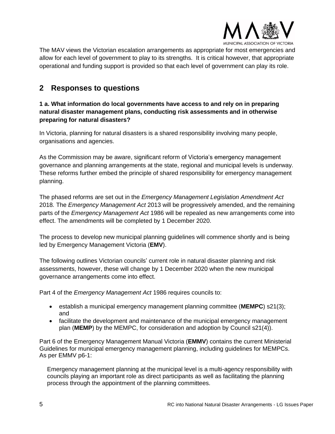

The MAV views the Victorian escalation arrangements as appropriate for most emergencies and allow for each level of government to play to its strengths. It is critical however, that appropriate operational and funding support is provided so that each level of government can play its role.

## **2 Responses to questions**

## **1 a. What information do local governments have access to and rely on in preparing natural disaster management plans, conducting risk assessments and in otherwise preparing for natural disasters?**

In Victoria, planning for natural disasters is a shared responsibility involving many people, organisations and agencies.

As the Commission may be aware, significant reform of Victoria's emergency management governance and planning arrangements at the state, regional and municipal levels is underway. These reforms further embed the principle of shared responsibility for emergency management planning.

The phased reforms are set out in the *Emergency Management Legislation Amendment Act*  2018*.* The *Emergency Management Act* 2013 will be progressively amended, and the remaining parts of the *Emergency Management Act* 1986 will be repealed as new arrangements come into effect. The amendments will be completed by 1 December 2020.

The process to develop new municipal planning guidelines will commence shortly and is being led by Emergency Management Victoria (**EMV**).

The following outlines Victorian councils' current role in natural disaster planning and risk assessments, however, these will change by 1 December 2020 when the new municipal governance arrangements come into effect.

Part 4 of the *Emergency Management Act* 1986 requires councils to:

- establish a municipal emergency management planning committee (**MEMPC**) s21(3); and
- facilitate the development and maintenance of the municipal emergency management plan (**MEMP**) by the MEMPC, for consideration and adoption by Council s21(4)).

Part 6 of the Emergency Management Manual Victoria (**EMMV**) contains the current Ministerial Guidelines for municipal emergency management planning, including guidelines for MEMPCs. As per EMMV p6-1:

Emergency management planning at the municipal level is a multi-agency responsibility with councils playing an important role as direct participants as well as facilitating the planning process through the appointment of the planning committees.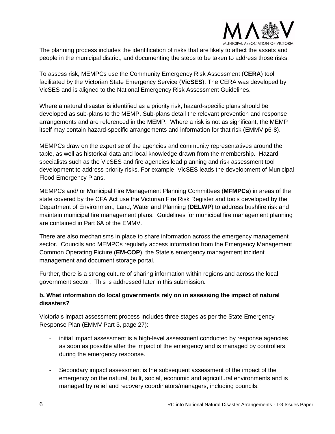

The planning process includes the identification of risks that are likely to affect the assets and people in the municipal district, and documenting the steps to be taken to address those risks.

To assess risk, MEMPCs use the Community Emergency Risk Assessment (**CERA**) tool facilitated by the Victorian State Emergency Service (**VicSES**). The CERA was developed by VicSES and is aligned to the National Emergency Risk Assessment Guidelines.

Where a natural disaster is identified as a priority risk, hazard-specific plans should be developed as sub-plans to the MEMP. Sub-plans detail the relevant prevention and response arrangements and are referenced in the MEMP. Where a risk is not as significant, the MEMP itself may contain hazard-specific arrangements and information for that risk (EMMV p6-8).

MEMPCs draw on the expertise of the agencies and community representatives around the table, as well as historical data and local knowledge drawn from the membership. Hazard specialists such as the VicSES and fire agencies lead planning and risk assessment tool development to address priority risks. For example, VicSES leads the development of Municipal Flood Emergency Plans.

MEMPCs and/ or Municipal Fire Management Planning Committees (**MFMPCs**) in areas of the state covered by the CFA Act use the Victorian Fire Risk Register and tools developed by the Department of Environment, Land, Water and Planning (**DELWP**) to address bushfire risk and maintain municipal fire management plans. Guidelines for municipal fire management planning are contained in Part 6A of the EMMV.

There are also mechanisms in place to share information across the emergency management sector. Councils and MEMPCs regularly access information from the Emergency Management Common Operating Picture (**EM-COP**), the State's emergency management incident management and document storage portal.

Further, there is a strong culture of sharing information within regions and across the local government sector. This is addressed later in this submission.

## **b. What information do local governments rely on in assessing the impact of natural disasters?**

Victoria's impact assessment process includes three stages as per the State Emergency Response Plan (EMMV Part 3, page 27):

- initial impact assessment is a high-level assessment conducted by response agencies as soon as possible after the impact of the emergency and is managed by controllers during the emergency response.
- Secondary impact assessment is the subsequent assessment of the impact of the emergency on the natural, built, social, economic and agricultural environments and is managed by relief and recovery coordinators/managers, including councils.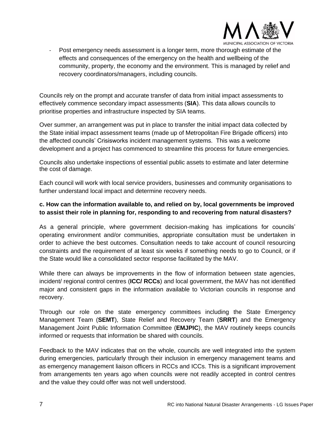

Post emergency needs assessment is a longer term, more thorough estimate of the effects and consequences of the emergency on the health and wellbeing of the community, property, the economy and the environment. This is managed by relief and recovery coordinators/managers, including councils.

Councils rely on the prompt and accurate transfer of data from initial impact assessments to effectively commence secondary impact assessments (**SIA**). This data allows councils to prioritise properties and infrastructure inspected by SIA teams.

Over summer, an arrangement was put in place to transfer the initial impact data collected by the State initial impact assessment teams (made up of Metropolitan Fire Brigade officers) into the affected councils' Crisisworks incident management systems. This was a welcome development and a project has commenced to streamline this process for future emergencies.

Councils also undertake inspections of essential public assets to estimate and later determine the cost of damage.

Each council will work with local service providers, businesses and community organisations to further understand local impact and determine recovery needs.

## **c. How can the information available to, and relied on by, local governments be improved to assist their role in planning for, responding to and recovering from natural disasters?**

As a general principle, where government decision-making has implications for councils' operating environment and/or communities, appropriate consultation must be undertaken in order to achieve the best outcomes. Consultation needs to take account of council resourcing constraints and the requirement of at least six weeks if something needs to go to Council, or if the State would like a consolidated sector response facilitated by the MAV.

While there can always be improvements in the flow of information between state agencies, incident/ regional control centres (**ICC/ RCCs**) and local government, the MAV has not identified major and consistent gaps in the information available to Victorian councils in response and recovery.

Through our role on the state emergency committees including the State Emergency Management Team (**SEMT**), State Relief and Recovery Team (**SRRT**) and the Emergency Management Joint Public Information Committee (**EMJPIC**), the MAV routinely keeps councils informed or requests that information be shared with councils.

Feedback to the MAV indicates that on the whole, councils are well integrated into the system during emergencies, particularly through their inclusion in emergency management teams and as emergency management liaison officers in RCCs and ICCs. This is a significant improvement from arrangements ten years ago when councils were not readily accepted in control centres and the value they could offer was not well understood.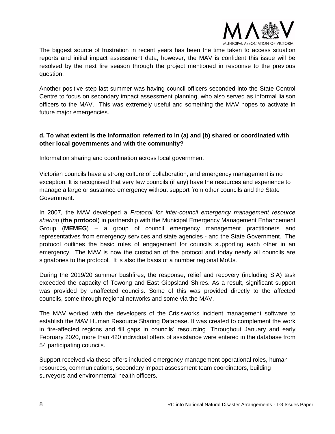

The biggest source of frustration in recent years has been the time taken to access situation reports and initial impact assessment data, however, the MAV is confident this issue will be resolved by the next fire season through the project mentioned in response to the previous question.

Another positive step last summer was having council officers seconded into the State Control Centre to focus on secondary impact assessment planning, who also served as informal liaison officers to the MAV. This was extremely useful and something the MAV hopes to activate in future major emergencies.

### **d. To what extent is the information referred to in (a) and (b) shared or coordinated with other local governments and with the community?**

#### Information sharing and coordination across local government

Victorian councils have a strong culture of collaboration, and emergency management is no exception. It is recognised that very few councils (if any) have the resources and experience to manage a large or sustained emergency without support from other councils and the State Government.

In 2007, the MAV developed a *Protocol for inter-council emergency management resource sharing* (**the protocol**) in partnership with the Municipal Emergency Management Enhancement Group (**MEMEG**) – a group of council emergency management practitioners and representatives from emergency services and state agencies - and the State Government. The protocol outlines the basic rules of engagement for councils supporting each other in an emergency. The MAV is now the custodian of the protocol and today nearly all councils are signatories to the protocol. It is also the basis of a number regional MoUs.

During the 2019/20 summer bushfires, the response, relief and recovery (including SIA) task exceeded the capacity of Towong and East Gippsland Shires. As a result, significant support was provided by unaffected councils. Some of this was provided directly to the affected councils, some through regional networks and some via the MAV.

The MAV worked with the developers of the Crisisworks incident management software to establish the [MAV Human Resource Sharing Database.](http://www.mav.asn.au/__data/assets/pdf_file/0016/24532/MAV-Human-Resource-Sharing-Database-FAQ-.pdf) It was created to complement the work in fire-affected regions and fill gaps in councils' resourcing. Throughout January and early February 2020, more than 420 individual offers of assistance were entered in the database from 54 participating councils.

Support received via these offers included emergency management operational roles, human resources, communications, secondary impact assessment team coordinators, building surveyors and environmental health officers.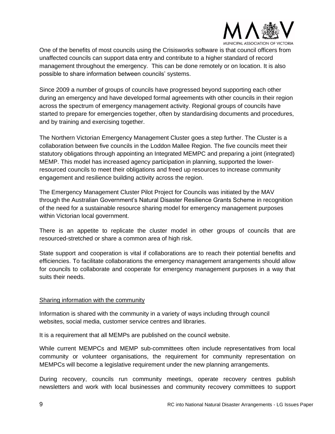

One of the benefits of most councils using the Crisisworks software is that council officers from unaffected councils can support data entry and contribute to a higher standard of record management throughout the emergency. This can be done remotely or on location. It is also possible to share information between councils' systems.

Since 2009 a number of groups of councils have progressed beyond supporting each other during an emergency and have developed formal agreements with other councils in their region across the spectrum of emergency management activity. Regional groups of councils have started to prepare for emergencies together, often by standardising documents and procedures, and by training and exercising together.

The Northern Victorian Emergency Management Cluster goes a step further. The Cluster is a collaboration between five councils in the Loddon Mallee Region. The five councils meet their statutory obligations through appointing an Integrated MEMPC and preparing a joint (integrated) MEMP. This model has increased agency participation in planning, supported the lowerresourced councils to meet their obligations and freed up resources to increase community engagement and resilience building activity across the region.

The Emergency Management Cluster Pilot Project for Councils was initiated by the MAV through the Australian Government's Natural Disaster Resilience Grants Scheme in recognition of the need for a sustainable resource sharing model for emergency management purposes within Victorian local government.

There is an appetite to replicate the cluster model in other groups of councils that are resourced-stretched or share a common area of high risk.

State support and cooperation is vital if collaborations are to reach their potential benefits and efficiencies. To facilitate collaborations the emergency management arrangements should allow for councils to collaborate and cooperate for emergency management purposes in a way that suits their needs.

#### Sharing information with the community

Information is shared with the community in a variety of ways including through council websites, social media, customer service centres and libraries.

It is a requirement that all MEMPs are published on the council website.

While current MEMPCs and MEMP sub-committees often include representatives from local community or volunteer organisations, the requirement for community representation on MEMPCs will become a legislative requirement under the new planning arrangements.

During recovery, councils run community meetings, operate recovery centres publish newsletters and work with local businesses and community recovery committees to support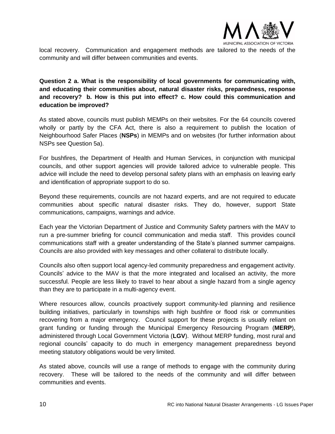

local recovery. Communication and engagement methods are tailored to the needs of the community and will differ between communities and events.

**Question 2 a. What is the responsibility of local governments for communicating with, and educating their communities about, natural disaster risks, preparedness, response and recovery? b. How is this put into effect? c. How could this communication and education be improved?**

As stated above, councils must publish MEMPs on their websites. For the 64 councils covered wholly or partly by the CFA Act, there is also a requirement to publish the location of Neighbourhood Safer Places (**NSPs**) in MEMPs and on websites (for further information about NSPs see Question 5a).

For bushfires, the Department of Health and Human Services, in conjunction with municipal councils, and other support agencies will provide tailored advice to vulnerable people. This advice will include the need to develop personal safety plans with an emphasis on leaving early and identification of appropriate support to do so.

Beyond these requirements, councils are not hazard experts, and are not required to educate communities about specific natural disaster risks. They do, however, support State communications, campaigns, warnings and advice.

Each year the Victorian Department of Justice and Community Safety partners with the MAV to run a pre-summer briefing for council communication and media staff. This provides council communications staff with a greater understanding of the State's planned summer campaigns. Councils are also provided with key messages and other collateral to distribute locally.

Councils also often support local agency-led community preparedness and engagement activity. Councils' advice to the MAV is that the more integrated and localised an activity, the more successful. People are less likely to travel to hear about a single hazard from a single agency than they are to participate in a multi-agency event.

Where resources allow, councils proactively support community-led planning and resilience building initiatives, particularly in townships with high bushfire or flood risk or communities recovering from a major emergency. Council support for these projects is usually reliant on grant funding or funding through the Municipal Emergency Resourcing Program (**MERP**), administered through Local Government Victoria (**LGV**). Without MERP funding, most rural and regional councils' capacity to do much in emergency management preparedness beyond meeting statutory obligations would be very limited.

As stated above, councils will use a range of methods to engage with the community during recovery. These will be tailored to the needs of the community and will differ between communities and events.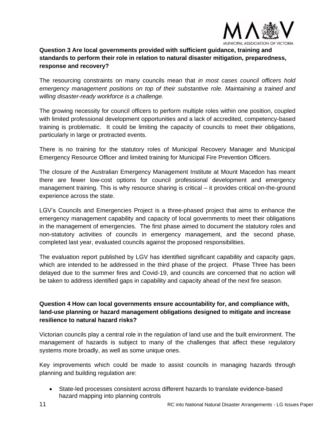

## **Question 3 Are local governments provided with sufficient guidance, training and standards to perform their role in relation to natural disaster mitigation, preparedness, response and recovery?**

The resourcing constraints on many councils mean that *in most cases council officers hold emergency management positions on top of their substantive role. Maintaining a trained and willing disaster-ready workforce is a challenge.*

The growing necessity for council officers to perform multiple roles within one position, coupled with limited professional development opportunities and a lack of accredited, competency-based training is problematic. It could be limiting the capacity of councils to meet their obligations, particularly in large or protracted events.

There is no training for the statutory roles of Municipal Recovery Manager and Municipal Emergency Resource Officer and limited training for Municipal Fire Prevention Officers.

The closure of the Australian Emergency Management Institute at Mount Macedon has meant there are fewer low-cost options for council professional development and emergency management training. This is why resource sharing is critical – it provides critical on-the-ground experience across the state.

LGV's Councils and Emergencies Project is a three-phased project that aims to enhance the emergency management capability and capacity of local governments to meet their obligations in the management of emergencies. The first phase aimed to document the statutory roles and non-statutory activities of councils in emergency management, and the second phase, completed last year, evaluated councils against the proposed responsibilities.

The evaluation report published by LGV has identified significant capability and capacity gaps, which are intended to be addressed in the third phase of the project. Phase Three has been delayed due to the summer fires and Covid-19, and councils are concerned that no action will be taken to address identified gaps in capability and capacity ahead of the next fire season.

## **Question 4 How can local governments ensure accountability for, and compliance with, land-use planning or hazard management obligations designed to mitigate and increase resilience to natural hazard risks?**

Victorian councils play a central role in the regulation of land use and the built environment. The management of hazards is subject to many of the challenges that affect these regulatory systems more broadly, as well as some unique ones.

Key improvements which could be made to assist councils in managing hazards through planning and building regulation are:

• State-led processes consistent across different hazards to translate evidence-based hazard mapping into planning controls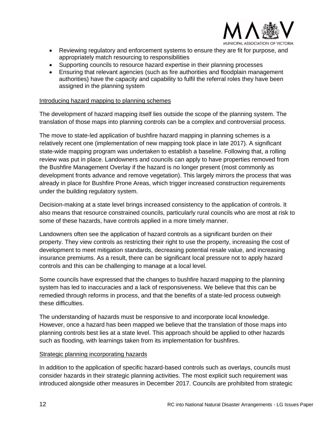

- Reviewing regulatory and enforcement systems to ensure they are fit for purpose, and appropriately match resourcing to responsibilities
- Supporting councils to resource hazard expertise in their planning processes
- Ensuring that relevant agencies (such as fire authorities and floodplain management authorities) have the capacity and capability to fulfil the referral roles they have been assigned in the planning system

#### Introducing hazard mapping to planning schemes

The development of hazard mapping itself lies outside the scope of the planning system. The translation of those maps into planning controls can be a complex and controversial process.

The move to state-led application of bushfire hazard mapping in planning schemes is a relatively recent one (implementation of new mapping took place in late 2017). A significant state-wide mapping program was undertaken to establish a baseline. Following that, a rolling review was put in place. Landowners and councils can apply to have properties removed from the Bushfire Management Overlay if the hazard is no longer present (most commonly as development fronts advance and remove vegetation). This largely mirrors the process that was already in place for Bushfire Prone Areas, which trigger increased construction requirements under the building regulatory system.

Decision-making at a state level brings increased consistency to the application of controls. It also means that resource constrained councils, particularly rural councils who are most at risk to some of these hazards, have controls applied in a more timely manner.

Landowners often see the application of hazard controls as a significant burden on their property. They view controls as restricting their right to use the property, increasing the cost of development to meet mitigation standards, decreasing potential resale value, and increasing insurance premiums. As a result, there can be significant local pressure not to apply hazard controls and this can be challenging to manage at a local level.

Some councils have expressed that the changes to bushfire hazard mapping to the planning system has led to inaccuracies and a lack of responsiveness. We believe that this can be remedied through reforms in process, and that the benefits of a state-led process outweigh these difficulties.

The understanding of hazards must be responsive to and incorporate local knowledge. However, once a hazard has been mapped we believe that the translation of those maps into planning controls best lies at a state level. This approach should be applied to other hazards such as flooding, with learnings taken from its implementation for bushfires.

#### Strategic planning incorporating hazards

In addition to the application of specific hazard-based controls such as overlays, councils must consider hazards in their strategic planning activities. The most explicit such requirement was introduced alongside other measures in December 2017. Councils are prohibited from strategic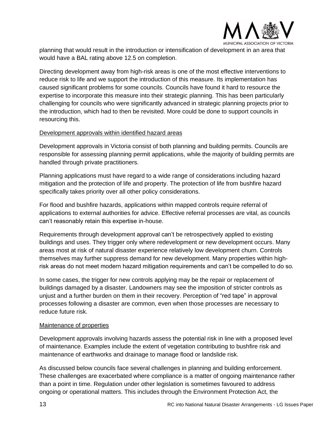

planning that would result in the introduction or intensification of development in an area that would have a BAL rating above 12.5 on completion.

Directing development away from high-risk areas is one of the most effective interventions to reduce risk to life and we support the introduction of this measure. Its implementation has caused significant problems for some councils. Councils have found it hard to resource the expertise to incorporate this measure into their strategic planning. This has been particularly challenging for councils who were significantly advanced in strategic planning projects prior to the introduction, which had to then be revisited. More could be done to support councils in resourcing this.

#### Development approvals within identified hazard areas

Development approvals in Victoria consist of both planning and building permits. Councils are responsible for assessing planning permit applications, while the majority of building permits are handled through private practitioners.

Planning applications must have regard to a wide range of considerations including hazard mitigation and the protection of life and property. The protection of life from bushfire hazard specifically takes priority over all other policy considerations.

For flood and bushfire hazards, applications within mapped controls require referral of applications to external authorities for advice. Effective referral processes are vital, as councils can't reasonably retain this expertise in-house.

Requirements through development approval can't be retrospectively applied to existing buildings and uses. They trigger only where redevelopment or new development occurs. Many areas most at risk of natural disaster experience relatively low development churn. Controls themselves may further suppress demand for new development. Many properties within highrisk areas do not meet modern hazard mitigation requirements and can't be compelled to do so.

In some cases, the trigger for new controls applying may be the repair or replacement of buildings damaged by a disaster. Landowners may see the imposition of stricter controls as unjust and a further burden on them in their recovery. Perception of "red tape" in approval processes following a disaster are common, even when those processes are necessary to reduce future risk.

#### Maintenance of properties

Development approvals involving hazards assess the potential risk in line with a proposed level of maintenance. Examples include the extent of vegetation contributing to bushfire risk and maintenance of earthworks and drainage to manage flood or landslide risk.

As discussed below councils face several challenges in planning and building enforcement. These challenges are exacerbated where compliance is a matter of ongoing maintenance rather than a point in time. Regulation under other legislation is sometimes favoured to address ongoing or operational matters. This includes through the Environment Protection Act, the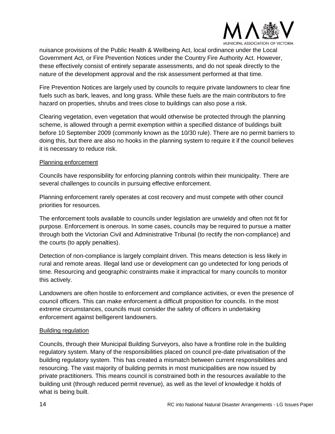

nuisance provisions of the Public Health & Wellbeing Act, local ordinance under the Local Government Act, or Fire Prevention Notices under the Country Fire Authority Act. However, these effectively consist of entirely separate assessments, and do not speak directly to the nature of the development approval and the risk assessment performed at that time.

Fire Prevention Notices are largely used by councils to require private landowners to clear fine fuels such as bark, leaves, and long grass. While these fuels are the main contributors to fire hazard on properties, shrubs and trees close to buildings can also pose a risk.

Clearing vegetation, even vegetation that would otherwise be protected through the planning scheme, is allowed through a permit exemption within a specified distance of buildings built before 10 September 2009 (commonly known as the 10/30 rule). There are no permit barriers to doing this, but there are also no hooks in the planning system to require it if the council believes it is necessary to reduce risk.

#### Planning enforcement

Councils have responsibility for enforcing planning controls within their municipality. There are several challenges to councils in pursuing effective enforcement.

Planning enforcement rarely operates at cost recovery and must compete with other council priorities for resources.

The enforcement tools available to councils under legislation are unwieldy and often not fit for purpose. Enforcement is onerous. In some cases, councils may be required to pursue a matter through both the Victorian Civil and Administrative Tribunal (to rectify the non-compliance) and the courts (to apply penalties).

Detection of non-compliance is largely complaint driven. This means detection is less likely in rural and remote areas. Illegal land use or development can go undetected for long periods of time. Resourcing and geographic constraints make it impractical for many councils to monitor this actively.

Landowners are often hostile to enforcement and compliance activities, or even the presence of council officers. This can make enforcement a difficult proposition for councils. In the most extreme circumstances, councils must consider the safety of officers in undertaking enforcement against belligerent landowners.

#### Building regulation

Councils, through their Municipal Building Surveyors, also have a frontline role in the building regulatory system. Many of the responsibilities placed on council pre-date privatisation of the building regulatory system. This has created a mismatch between current responsibilities and resourcing. The vast majority of building permits in most municipalities are now issued by private practitioners. This means council is constrained both in the resources available to the building unit (through reduced permit revenue), as well as the level of knowledge it holds of what is being built.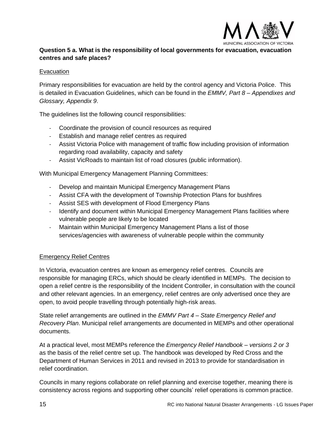

## **Question 5 a. What is the responsibility of local governments for evacuation, evacuation centres and safe places?**

#### Evacuation

Primary responsibilities for evacuation are held by the control agency and Victoria Police. This is detailed in Evacuation Guidelines, which can be found in the *EMMV, Part 8 – Appendixes and Glossary, Appendix 9*.

The guidelines list the following council responsibilities:

- Coordinate the provision of council resources as required
- Establish and manage relief centres as required
- Assist Victoria Police with management of traffic flow including provision of information regarding road availability, capacity and safety
- Assist VicRoads to maintain list of road closures (public information).

With Municipal Emergency Management Planning Committees:

- Develop and maintain Municipal Emergency Management Plans
- Assist CFA with the development of Township Protection Plans for bushfires
- Assist SES with development of Flood Emergency Plans
- Identify and document within Municipal Emergency Management Plans facilities where vulnerable people are likely to be located
- Maintain within Municipal Emergency Management Plans a list of those services/agencies with awareness of vulnerable people within the community

#### Emergency Relief Centres

In Victoria, evacuation centres are known as emergency relief centres. Councils are responsible for managing ERCs, which should be clearly identified in MEMPs. The decision to open a relief centre is the responsibility of the Incident Controller, in consultation with the council and other relevant agencies. In an emergency, relief centres are only advertised once they are open, to avoid people travelling through potentially high-risk areas.

State relief arrangements are outlined in the *EMMV Part 4 – State Emergency Relief and Recovery Plan*. Municipal relief arrangements are documented in MEMPs and other operational documents.

At a practical level, most MEMPs reference the *Emergency Relief Handbook – versions 2 or 3* as the basis of the relief centre set up. The handbook was developed by Red Cross and the Department of Human Services in 2011 and revised in 2013 to provide for standardisation in relief coordination.

Councils in many regions collaborate on relief planning and exercise together, meaning there is consistency across regions and supporting other councils' relief operations is common practice.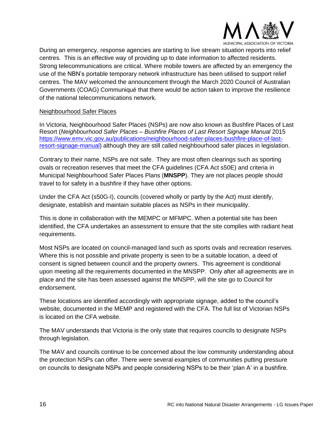

During an emergency, response agencies are starting to live stream situation reports into relief centres. This is an effective way of providing up to date information to affected residents. Strong telecommunications are critical. Where mobile towers are affected by an emergency the use of the NBN's portable temporary network infrastructure has been utilised to support relief centres. The MAV welcomed the announcement through the March 2020 Council of Australian Governments (COAG) Communiqué that there would be action taken to improve the resilience of the national telecommunications network.

#### Neighbourhood Safer Places

In Victoria, Neighbourhood Safer Places (NSPs) are now also known as Bushfire Places of Last Resort (*Neighbourhood Safer Places – Bushfire Places of Last Resort Signage Manual* 2015 [https://www.emv.vic.gov.au/publications/neighbourhood-safer-places-bushfire-place-of-last](https://www.emv.vic.gov.au/publications/neighbourhood-safer-places-bushfire-place-of-last-resort-signage-manual)[resort-signage-manual\)](https://www.emv.vic.gov.au/publications/neighbourhood-safer-places-bushfire-place-of-last-resort-signage-manual) although they are still called neighbourhood safer places in legislation.

Contrary to their name, NSPs are not safe. They are most often clearings such as sporting ovals or recreation reserves that meet the CFA guidelines (CFA Act s50E) and criteria in Municipal Neighbourhood Safer Places Plans (**MNSPP**). They are not places people should travel to for safety in a bushfire if they have other options.

Under the CFA Act (s50G-I), councils (covered wholly or partly by the Act) must identify, designate, establish and maintain suitable places as NSPs in their municipality.

This is done in collaboration with the MEMPC or MFMPC. When a potential site has been identified, the CFA undertakes an assessment to ensure that the site complies with radiant heat requirements.

Most NSPs are located on council-managed land such as sports ovals and recreation reserves. Where this is not possible and private property is seen to be a suitable location, a deed of consent is signed between council and the property owners. This agreement is conditional upon meeting all the requirements documented in the MNSPP. Only after all agreements are in place and the site has been assessed against the MNSPP, will the site go to Council for endorsement.

These locations are identified accordingly with appropriate signage, added to the council's website, documented in the MEMP and registered with the CFA. The full list of Victorian NSPs is located on the CFA website.

The MAV understands that Victoria is the only state that requires councils to designate NSPs through legislation.

The MAV and councils continue to be concerned about the low community understanding about the protection NSPs can offer. There were several examples of communities putting pressure on councils to designate NSPs and people considering NSPs to be their 'plan A' in a bushfire.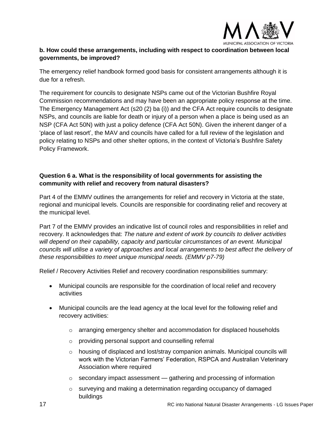

## **b. How could these arrangements, including with respect to coordination between local governments, be improved?**

The emergency relief handbook formed good basis for consistent arrangements although it is due for a refresh.

The requirement for councils to designate NSPs came out of the Victorian Bushfire Royal Commission recommendations and may have been an appropriate policy response at the time. The Emergency Management Act (s20 (2) ba (i)) and the CFA Act require councils to designate NSPs, and councils are liable for death or injury of a person when a place is being used as an NSP (CFA Act 50N) with just a policy defence (CFA Act 50N). Given the inherent danger of a 'place of last resort', the MAV and councils have called for a full review of the legislation and policy relating to NSPs and other shelter options, in the context of Victoria's Bushfire Safety Policy Framework.

## **Question 6 a. What is the responsibility of local governments for assisting the community with relief and recovery from natural disasters?**

Part 4 of the EMMV outlines the arrangements for relief and recovery in Victoria at the state, regional and municipal levels. Councils are responsible for coordinating relief and recovery at the municipal level.

Part 7 of the EMMV provides an indicative list of council roles and responsibilities in relief and recovery. It acknowledges that: *The nature and extent of work by councils to deliver activities*  will depend on their capability, capacity and particular circumstances of an event. Municipal *councils will utilise a variety of approaches and local arrangements to best affect the delivery of these responsibilities to meet unique municipal needs. (EMMV p7-79)*

Relief / Recovery Activities Relief and recovery coordination responsibilities summary:

- Municipal councils are responsible for the coordination of local relief and recovery activities
- Municipal councils are the lead agency at the local level for the following relief and recovery activities:
	- $\circ$  arranging emergency shelter and accommodation for displaced households
	- o providing personal support and counselling referral
	- $\circ$  housing of displaced and lost/stray companion animals. Municipal councils will work with the Victorian Farmers' Federation, RSPCA and Australian Veterinary Association where required
	- $\circ$  secondary impact assessment gathering and processing of information
	- o surveying and making a determination regarding occupancy of damaged buildings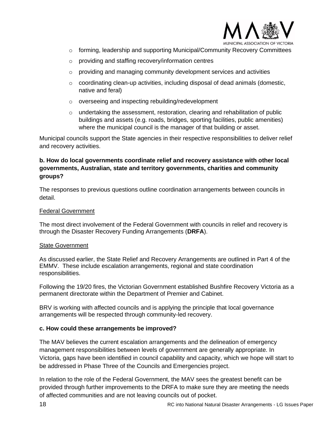

- $\circ$  forming, leadership and supporting Municipal/Community Recovery Committees
- o providing and staffing recovery/information centres
- o providing and managing community development services and activities
- $\circ$  coordinating clean-up activities, including disposal of dead animals (domestic, native and feral)
- o overseeing and inspecting rebuilding/redevelopment
- $\circ$  undertaking the assessment, restoration, clearing and rehabilitation of public buildings and assets (e.g. roads, bridges, sporting facilities, public amenities) where the municipal council is the manager of that building or asset.

Municipal councils support the State agencies in their respective responsibilities to deliver relief and recovery activities.

## **b. How do local governments coordinate relief and recovery assistance with other local governments, Australian, state and territory governments, charities and community groups?**

The responses to previous questions outline coordination arrangements between councils in detail.

#### Federal Government

The most direct involvement of the Federal Government with councils in relief and recovery is through the Disaster Recovery Funding Arrangements (**DRFA**).

#### State Government

As discussed earlier, the State Relief and Recovery Arrangements are outlined in Part 4 of the EMMV. These include escalation arrangements, regional and state coordination responsibilities.

Following the 19/20 fires, the Victorian Government established Bushfire Recovery Victoria as a permanent directorate within the Department of Premier and Cabinet.

BRV is working with affected councils and is applying the principle that local governance arrangements will be respected through community-led recovery.

#### **c. How could these arrangements be improved?**

The MAV believes the current escalation arrangements and the delineation of emergency management responsibilities between levels of government are generally appropriate. In Victoria, gaps have been identified in council capability and capacity, which we hope will start to be addressed in Phase Three of the Councils and Emergencies project.

In relation to the role of the Federal Government, the MAV sees the greatest benefit can be provided through further improvements to the DRFA to make sure they are meeting the needs of affected communities and are not leaving councils out of pocket.